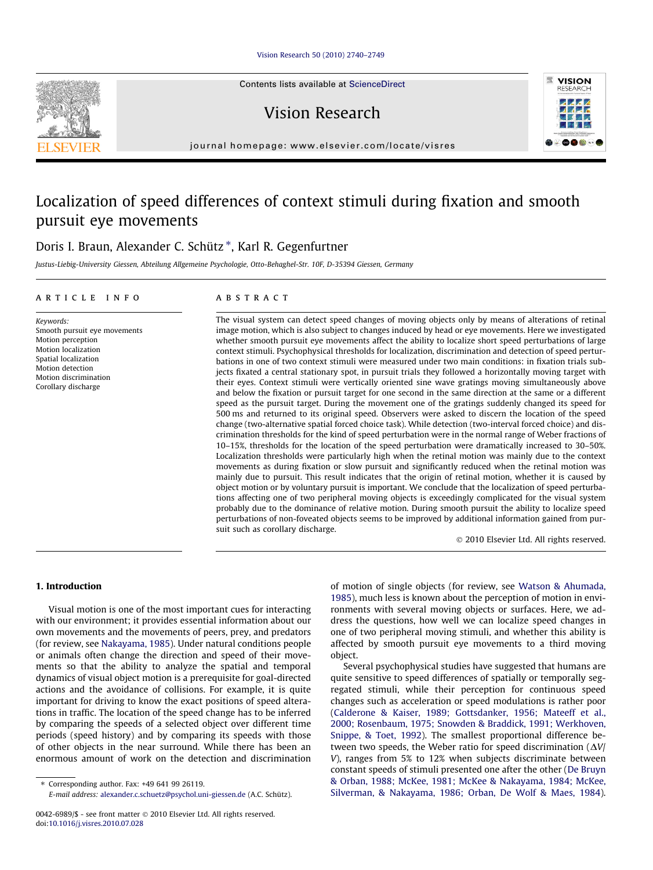## [Vision Research 50 \(2010\) 2740–2749](http://dx.doi.org/10.1016/j.visres.2010.07.028)

Contents lists available at [ScienceDirect](http://www.sciencedirect.com/science/journal/00426989)

Vision Research



journal homepage: [www.elsevier.com/locate/visres](http://www.elsevier.com/locate/visres)

# Localization of speed differences of context stimuli during fixation and smooth pursuit eye movements

# Doris I. Braun, Alexander C. Schütz \*, Karl R. Gegenfurtner

Justus-Liebig-University Giessen, Abteilung Allgemeine Psychologie, Otto-Behaghel-Str. 10F, D-35394 Giessen, Germany

#### article info

Keywords: Smooth pursuit eye movements Motion perception Motion localization Spatial localization Motion detection Motion discrimination Corollary discharge

#### **ABSTRACT**

The visual system can detect speed changes of moving objects only by means of alterations of retinal image motion, which is also subject to changes induced by head or eye movements. Here we investigated whether smooth pursuit eye movements affect the ability to localize short speed perturbations of large context stimuli. Psychophysical thresholds for localization, discrimination and detection of speed perturbations in one of two context stimuli were measured under two main conditions: in fixation trials subjects fixated a central stationary spot, in pursuit trials they followed a horizontally moving target with their eyes. Context stimuli were vertically oriented sine wave gratings moving simultaneously above and below the fixation or pursuit target for one second in the same direction at the same or a different speed as the pursuit target. During the movement one of the gratings suddenly changed its speed for 500 ms and returned to its original speed. Observers were asked to discern the location of the speed change (two-alternative spatial forced choice task). While detection (two-interval forced choice) and discrimination thresholds for the kind of speed perturbation were in the normal range of Weber fractions of 10–15%, thresholds for the location of the speed perturbation were dramatically increased to 30–50%. Localization thresholds were particularly high when the retinal motion was mainly due to the context movements as during fixation or slow pursuit and significantly reduced when the retinal motion was mainly due to pursuit. This result indicates that the origin of retinal motion, whether it is caused by object motion or by voluntary pursuit is important. We conclude that the localization of speed perturbations affecting one of two peripheral moving objects is exceedingly complicated for the visual system probably due to the dominance of relative motion. During smooth pursuit the ability to localize speed perturbations of non-foveated objects seems to be improved by additional information gained from pursuit such as corollary discharge.

- 2010 Elsevier Ltd. All rights reserved.

# 1. Introduction

Visual motion is one of the most important cues for interacting with our environment; it provides essential information about our own movements and the movements of peers, prey, and predators (for review, see [Nakayama, 1985](#page-9-0)). Under natural conditions people or animals often change the direction and speed of their movements so that the ability to analyze the spatial and temporal dynamics of visual object motion is a prerequisite for goal-directed actions and the avoidance of collisions. For example, it is quite important for driving to know the exact positions of speed alterations in traffic. The location of the speed change has to be inferred by comparing the speeds of a selected object over different time periods (speed history) and by comparing its speeds with those of other objects in the near surround. While there has been an enormous amount of work on the detection and discrimination

⇑ Corresponding author. Fax: +49 641 99 26119.

of motion of single objects (for review, see [Watson & Ahumada,](#page-9-0) [1985\)](#page-9-0), much less is known about the perception of motion in environments with several moving objects or surfaces. Here, we address the questions, how well we can localize speed changes in one of two peripheral moving stimuli, and whether this ability is affected by smooth pursuit eye movements to a third moving object.

Several psychophysical studies have suggested that humans are quite sensitive to speed differences of spatially or temporally segregated stimuli, while their perception for continuous speed changes such as acceleration or speed modulations is rather poor ([Calderone & Kaiser, 1989; Gottsdanker, 1956; Mateeff et al.,](#page-8-0) [2000; Rosenbaum, 1975; Snowden & Braddick, 1991; Werkhoven,](#page-8-0) [Snippe, & Toet, 1992\)](#page-8-0). The smallest proportional difference between two speeds, the Weber ratio for speed discrimination  $(\Delta V)$ V), ranges from 5% to 12% when subjects discriminate between constant speeds of stimuli presented one after the other ([De Bruyn](#page-8-0) [& Orban, 1988; McKee, 1981; McKee & Nakayama, 1984; McKee,](#page-8-0) [Silverman, & Nakayama, 1986; Orban, De Wolf & Maes, 1984\)](#page-8-0).

E-mail address: [alexander.c.schuetz@psychol.uni-giessen.de](mailto:alexander.c.schuetz@psychol.uni-giessen.de) (A.C. Schütz).

<sup>0042-6989/\$ -</sup> see front matter © 2010 Elsevier Ltd. All rights reserved. doi:[10.1016/j.visres.2010.07.028](http://dx.doi.org/10.1016/j.visres.2010.07.028)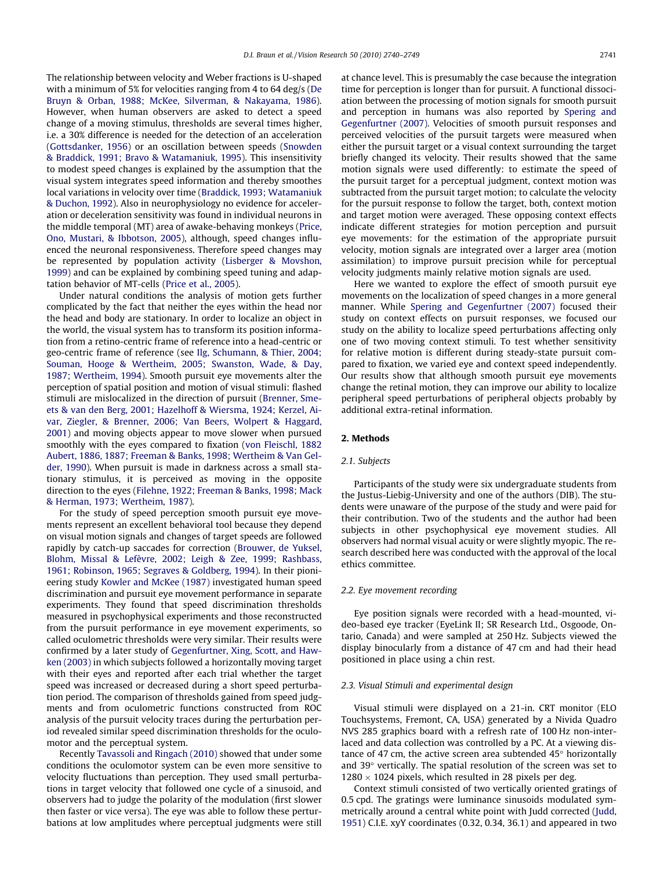The relationship between velocity and Weber fractions is U-shaped with a minimum of 5% for velocities ranging from 4 to 64 deg/s [\(De](#page-8-0) [Bruyn & Orban, 1988; McKee, Silverman, & Nakayama, 1986\)](#page-8-0). However, when human observers are asked to detect a speed change of a moving stimulus, thresholds are several times higher, i.e. a 30% difference is needed for the detection of an acceleration ([Gottsdanker, 1956\)](#page-9-0) or an oscillation between speeds ([Snowden](#page-9-0) [& Braddick, 1991; Bravo & Watamaniuk, 1995](#page-9-0)). This insensitivity to modest speed changes is explained by the assumption that the visual system integrates speed information and thereby smoothes local variations in velocity over time ([Braddick, 1993; Watamaniuk](#page-8-0) [& Duchon, 1992\)](#page-8-0). Also in neurophysiology no evidence for acceleration or deceleration sensitivity was found in individual neurons in the middle temporal (MT) area of awake-behaving monkeys [\(Price,](#page-9-0) [Ono, Mustari, & Ibbotson, 2005](#page-9-0)), although, speed changes influenced the neuronal responsiveness. Therefore speed changes may be represented by population activity ([Lisberger & Movshon,](#page-9-0) [1999\)](#page-9-0) and can be explained by combining speed tuning and adaptation behavior of MT-cells [\(Price et al., 2005\)](#page-9-0).

Under natural conditions the analysis of motion gets further complicated by the fact that neither the eyes within the head nor the head and body are stationary. In order to localize an object in the world, the visual system has to transform its position information from a retino-centric frame of reference into a head-centric or geo-centric frame of reference (see [Ilg, Schumann, & Thier, 2004;](#page-9-0) [Souman, Hooge & Wertheim, 2005; Swanston, Wade, & Day,](#page-9-0) [1987; Wertheim, 1994](#page-9-0)). Smooth pursuit eye movements alter the perception of spatial position and motion of visual stimuli: flashed stimuli are mislocalized in the direction of pursuit ([Brenner, Sme](#page-8-0)[ets & van den Berg, 2001; Hazelhoff & Wiersma, 1924; Kerzel, Ai](#page-8-0)[var, Ziegler, & Brenner, 2006; Van Beers, Wolpert & Haggard,](#page-8-0) [2001](#page-8-0)) and moving objects appear to move slower when pursued smoothly with the eyes compared to fixation ([von Fleischl, 1882](#page-9-0) [Aubert, 1886, 1887; Freeman & Banks, 1998; Wertheim & Van Gel](#page-9-0)[der, 1990\)](#page-9-0). When pursuit is made in darkness across a small stationary stimulus, it is perceived as moving in the opposite direction to the eyes ([Filehne, 1922; Freeman & Banks, 1998; Mack](#page-9-0) [& Herman, 1973; Wertheim, 1987](#page-9-0)).

For the study of speed perception smooth pursuit eye movements represent an excellent behavioral tool because they depend on visual motion signals and changes of target speeds are followed rapidly by catch-up saccades for correction ([Brouwer, de Yuksel,](#page-8-0) [Blohm, Missal & Lefèvre, 2002; Leigh & Zee, 1999; Rashbass,](#page-8-0) [1961; Robinson, 1965; Segraves & Goldberg, 1994\)](#page-8-0). In their pionieering study [Kowler and McKee \(1987\)](#page-9-0) investigated human speed discrimination and pursuit eye movement performance in separate experiments. They found that speed discrimination thresholds measured in psychophysical experiments and those reconstructed from the pursuit performance in eye movement experiments, so called oculometric thresholds were very similar. Their results were confirmed by a later study of [Gegenfurtner, Xing, Scott, and Haw](#page-9-0)[ken \(2003\)](#page-9-0) in which subjects followed a horizontally moving target with their eyes and reported after each trial whether the target speed was increased or decreased during a short speed perturbation period. The comparison of thresholds gained from speed judgments and from oculometric functions constructed from ROC analysis of the pursuit velocity traces during the perturbation period revealed similar speed discrimination thresholds for the oculomotor and the perceptual system.

Recently [Tavassoli and Ringach \(2010\)](#page-9-0) showed that under some conditions the oculomotor system can be even more sensitive to velocity fluctuations than perception. They used small perturbations in target velocity that followed one cycle of a sinusoid, and observers had to judge the polarity of the modulation (first slower then faster or vice versa). The eye was able to follow these perturbations at low amplitudes where perceptual judgments were still at chance level. This is presumably the case because the integration time for perception is longer than for pursuit. A functional dissociation between the processing of motion signals for smooth pursuit and perception in humans was also reported by [Spering and](#page-9-0) [Gegenfurtner \(2007\).](#page-9-0) Velocities of smooth pursuit responses and perceived velocities of the pursuit targets were measured when either the pursuit target or a visual context surrounding the target briefly changed its velocity. Their results showed that the same motion signals were used differently: to estimate the speed of the pursuit target for a perceptual judgment, context motion was subtracted from the pursuit target motion; to calculate the velocity for the pursuit response to follow the target, both, context motion and target motion were averaged. These opposing context effects indicate different strategies for motion perception and pursuit eye movements: for the estimation of the appropriate pursuit velocity, motion signals are integrated over a larger area (motion assimilation) to improve pursuit precision while for perceptual velocity judgments mainly relative motion signals are used.

Here we wanted to explore the effect of smooth pursuit eye movements on the localization of speed changes in a more general manner. While [Spering and Gegenfurtner \(2007\)](#page-9-0) focused their study on context effects on pursuit responses, we focused our study on the ability to localize speed perturbations affecting only one of two moving context stimuli. To test whether sensitivity for relative motion is different during steady-state pursuit compared to fixation, we varied eye and context speed independently. Our results show that although smooth pursuit eye movements change the retinal motion, they can improve our ability to localize peripheral speed perturbations of peripheral objects probably by additional extra-retinal information.

# 2. Methods

# 2.1. Subjects

Participants of the study were six undergraduate students from the Justus-Liebig-University and one of the authors (DIB). The students were unaware of the purpose of the study and were paid for their contribution. Two of the students and the author had been subjects in other psychophysical eye movement studies. All observers had normal visual acuity or were slightly myopic. The research described here was conducted with the approval of the local ethics committee.

## 2.2. Eye movement recording

Eye position signals were recorded with a head-mounted, video-based eye tracker (EyeLink II; SR Research Ltd., Osgoode, Ontario, Canada) and were sampled at 250 Hz. Subjects viewed the display binocularly from a distance of 47 cm and had their head positioned in place using a chin rest.

## 2.3. Visual Stimuli and experimental design

Visual stimuli were displayed on a 21-in. CRT monitor (ELO Touchsystems, Fremont, CA, USA) generated by a Nivida Quadro NVS 285 graphics board with a refresh rate of 100 Hz non-interlaced and data collection was controlled by a PC. At a viewing distance of 47 cm, the active screen area subtended  $45^{\circ}$  horizontally and  $39^{\circ}$  vertically. The spatial resolution of the screen was set to  $1280 \times 1024$  pixels, which resulted in 28 pixels per deg.

Context stimuli consisted of two vertically oriented gratings of 0.5 cpd. The gratings were luminance sinusoids modulated symmetrically around a central white point with Judd corrected ([Judd,](#page-9-0) [1951\)](#page-9-0) C.I.E. xyY coordinates (0.32, 0.34, 36.1) and appeared in two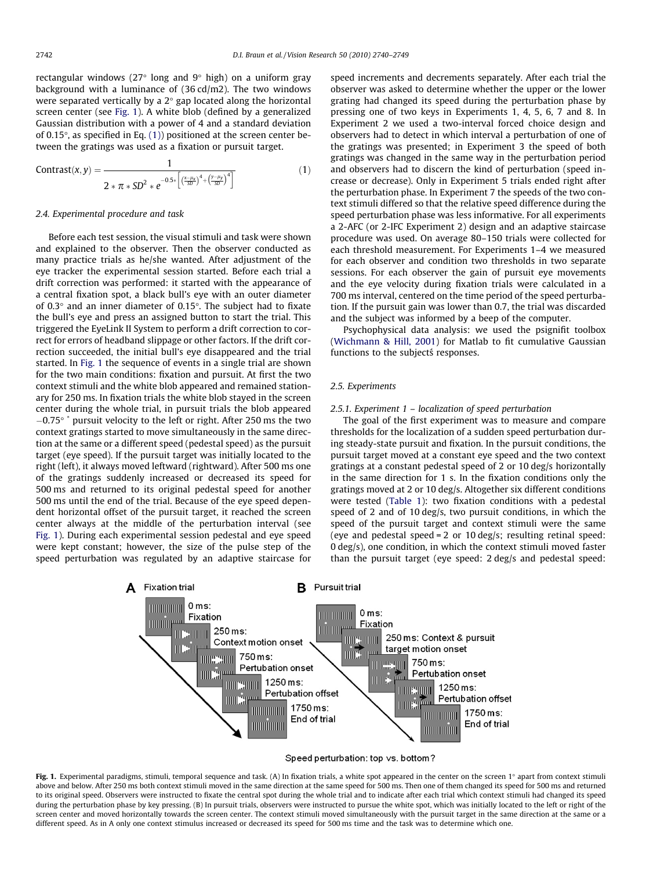rectangular windows (27 $\degree$  long and 9 $\degree$  high) on a uniform gray background with a luminance of (36 cd/m2). The two windows were separated vertically by a  $2^{\circ}$  gap located along the horizontal screen center (see Fig. 1). A white blob (defined by a generalized Gaussian distribution with a power of 4 and a standard deviation of 0.15 $^{\circ}$ , as specified in Eq. (1)) positioned at the screen center between the gratings was used as a fixation or pursuit target.

$$
Contrast(x,y) = \frac{1}{2 * \pi * SD^2 * e^{-0.5*} \left[ \left( \frac{x - \mu_x}{SD} \right)^4 + \left( \frac{y - \mu_y}{SD} \right)^4 \right]}}
$$
(1)

# 2.4. Experimental procedure and task

Before each test session, the visual stimuli and task were shown and explained to the observer. Then the observer conducted as many practice trials as he/she wanted. After adjustment of the eye tracker the experimental session started. Before each trial a drift correction was performed: it started with the appearance of a central fixation spot, a black bull's eye with an outer diameter of  $0.3^\circ$  and an inner diameter of  $0.15^\circ$ . The subject had to fixate the bull's eye and press an assigned button to start the trial. This triggered the EyeLink II System to perform a drift correction to correct for errors of headband slippage or other factors. If the drift correction succeeded, the initial bull's eye disappeared and the trial started. In Fig. 1 the sequence of events in a single trial are shown for the two main conditions: fixation and pursuit. At first the two context stimuli and the white blob appeared and remained stationary for 250 ms. In fixation trials the white blob stayed in the screen center during the whole trial, in pursuit trials the blob appeared  $-0.75^{\circ}$  \* pursuit velocity to the left or right. After 250 ms the two context gratings started to move simultaneously in the same direction at the same or a different speed (pedestal speed) as the pursuit target (eye speed). If the pursuit target was initially located to the right (left), it always moved leftward (rightward). After 500 ms one of the gratings suddenly increased or decreased its speed for 500 ms and returned to its original pedestal speed for another 500 ms until the end of the trial. Because of the eye speed dependent horizontal offset of the pursuit target, it reached the screen center always at the middle of the perturbation interval (see Fig. 1). During each experimental session pedestal and eye speed were kept constant; however, the size of the pulse step of the speed perturbation was regulated by an adaptive staircase for

speed increments and decrements separately. After each trial the observer was asked to determine whether the upper or the lower grating had changed its speed during the perturbation phase by pressing one of two keys in Experiments 1, 4, 5, 6, 7 and 8. In Experiment 2 we used a two-interval forced choice design and observers had to detect in which interval a perturbation of one of the gratings was presented; in Experiment 3 the speed of both gratings was changed in the same way in the perturbation period and observers had to discern the kind of perturbation (speed increase or decrease). Only in Experiment 5 trials ended right after the perturbation phase. In Experiment 7 the speeds of the two context stimuli differed so that the relative speed difference during the speed perturbation phase was less informative. For all experiments a 2-AFC (or 2-IFC Experiment 2) design and an adaptive staircase procedure was used. On average 80–150 trials were collected for each threshold measurement. For Experiments 1–4 we measured for each observer and condition two thresholds in two separate sessions. For each observer the gain of pursuit eye movements and the eye velocity during fixation trials were calculated in a 700 ms interval, centered on the time period of the speed perturbation. If the pursuit gain was lower than 0.7, the trial was discarded and the subject was informed by a beep of the computer.

Psychophysical data analysis: we used the psignifit toolbox ([Wichmann & Hill, 2001\)](#page-9-0) for Matlab to fit cumulative Gaussian functions to the subjects responses.

## 2.5. Experiments

#### 2.5.1. Experiment 1 – localization of speed perturbation

The goal of the first experiment was to measure and compare thresholds for the localization of a sudden speed perturbation during steady-state pursuit and fixation. In the pursuit conditions, the pursuit target moved at a constant eye speed and the two context gratings at a constant pedestal speed of 2 or 10 deg/s horizontally in the same direction for 1 s. In the fixation conditions only the gratings moved at 2 or 10 deg/s. Altogether six different conditions were tested [\(Table 1\)](#page-3-0): two fixation conditions with a pedestal speed of 2 and of 10 deg/s, two pursuit conditions, in which the speed of the pursuit target and context stimuli were the same (eye and pedestal speed = 2 or 10 deg/s; resulting retinal speed: 0 deg/s), one condition, in which the context stimuli moved faster than the pursuit target (eye speed: 2 deg/s and pedestal speed:



#### Speed perturbation: top vs. bottom?

Fig. 1. Experimental paradigms, stimuli, temporal sequence and task. (A) In fixation trials, a white spot appeared in the center on the screen 1° apart from context stimuli above and below. After 250 ms both context stimuli moved in the same direction at the same speed for 500 ms. Then one of them changed its speed for 500 ms and returned to its original speed. Observers were instructed to fixate the central spot during the whole trial and to indicate after each trial which context stimuli had changed its speed during the perturbation phase by key pressing. (B) In pursuit trials, observers were instructed to pursue the white spot, which was initially located to the left or right of the screen center and moved horizontally towards the screen center. The context stimuli moved simultaneously with the pursuit target in the same direction at the same or a different speed. As in A only one context stimulus increased or decreased its speed for 500 ms time and the task was to determine which one.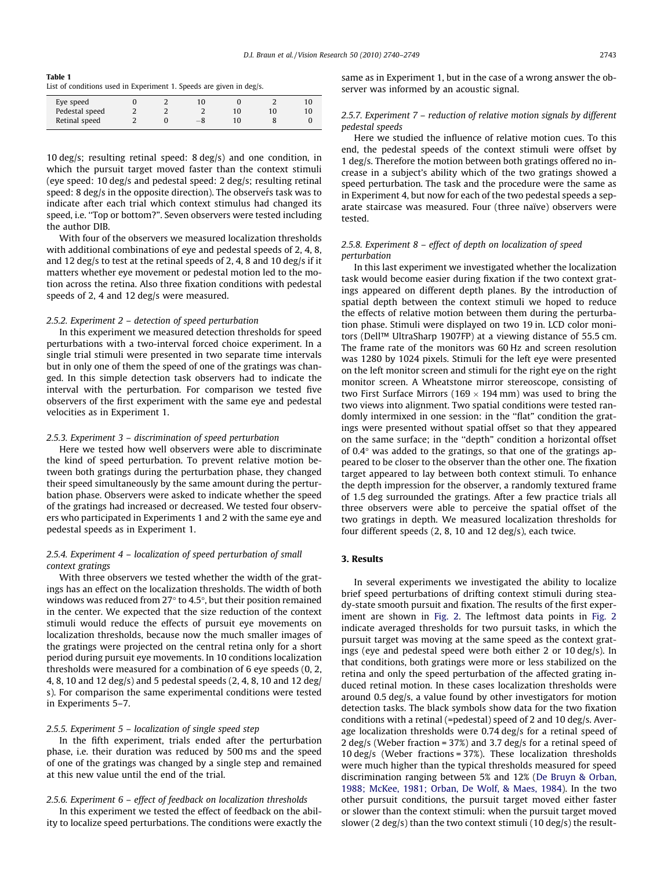<span id="page-3-0"></span>Table 1 List of conditions used in Experiment 1. Speeds are given in deg/s.

|  |           | $\sim$ | .  |    |
|--|-----------|--------|----|----|
|  |           |        |    |    |
|  |           | 10     | 10 | ιO |
|  | $-\delta$ |        |    |    |
|  |           |        |    |    |

10 deg/s; resulting retinal speed: 8 deg/s) and one condition, in which the pursuit target moved faster than the context stimuli (eye speed: 10 deg/s and pedestal speed: 2 deg/s; resulting retinal speed: 8 deg/s in the opposite direction). The observers task was to indicate after each trial which context stimulus had changed its speed, i.e. ''Top or bottom?". Seven observers were tested including the author DIB.

With four of the observers we measured localization thresholds with additional combinations of eye and pedestal speeds of 2, 4, 8. and 12 deg/s to test at the retinal speeds of 2, 4, 8 and 10 deg/s if it matters whether eye movement or pedestal motion led to the motion across the retina. Also three fixation conditions with pedestal speeds of 2, 4 and 12 deg/s were measured.

## 2.5.2. Experiment 2 – detection of speed perturbation

In this experiment we measured detection thresholds for speed perturbations with a two-interval forced choice experiment. In a single trial stimuli were presented in two separate time intervals but in only one of them the speed of one of the gratings was changed. In this simple detection task observers had to indicate the interval with the perturbation. For comparison we tested five observers of the first experiment with the same eye and pedestal velocities as in Experiment 1.

#### 2.5.3. Experiment 3 – discrimination of speed perturbation

Here we tested how well observers were able to discriminate the kind of speed perturbation. To prevent relative motion between both gratings during the perturbation phase, they changed their speed simultaneously by the same amount during the perturbation phase. Observers were asked to indicate whether the speed of the gratings had increased or decreased. We tested four observers who participated in Experiments 1 and 2 with the same eye and pedestal speeds as in Experiment 1.

# 2.5.4. Experiment 4 – localization of speed perturbation of small context gratings

With three observers we tested whether the width of the gratings has an effect on the localization thresholds. The width of both windows was reduced from 27 $\degree$  to 4.5 $\degree$ , but their position remained in the center. We expected that the size reduction of the context stimuli would reduce the effects of pursuit eye movements on localization thresholds, because now the much smaller images of the gratings were projected on the central retina only for a short period during pursuit eye movements. In 10 conditions localization thresholds were measured for a combination of 6 eye speeds (0, 2, 4, 8, 10 and 12 deg/s) and 5 pedestal speeds (2, 4, 8, 10 and 12 deg/ s). For comparison the same experimental conditions were tested in Experiments 5–7.

## 2.5.5. Experiment 5 – localization of single speed step

In the fifth experiment, trials ended after the perturbation phase, i.e. their duration was reduced by 500 ms and the speed of one of the gratings was changed by a single step and remained at this new value until the end of the trial.

## 2.5.6. Experiment 6 – effect of feedback on localization thresholds

In this experiment we tested the effect of feedback on the ability to localize speed perturbations. The conditions were exactly the same as in Experiment 1, but in the case of a wrong answer the observer was informed by an acoustic signal.

## 2.5.7. Experiment 7 – reduction of relative motion signals by different pedestal speeds

Here we studied the influence of relative motion cues. To this end, the pedestal speeds of the context stimuli were offset by 1 deg/s. Therefore the motion between both gratings offered no increase in a subject's ability which of the two gratings showed a speed perturbation. The task and the procedure were the same as in Experiment 4, but now for each of the two pedestal speeds a separate staircase was measured. Four (three naïve) observers were tested.

# 2.5.8. Experiment 8 – effect of depth on localization of speed perturbation

In this last experiment we investigated whether the localization task would become easier during fixation if the two context gratings appeared on different depth planes. By the introduction of spatial depth between the context stimuli we hoped to reduce the effects of relative motion between them during the perturbation phase. Stimuli were displayed on two 19 in. LCD color monitors (Dell™ UltraSharp 1907FP) at a viewing distance of 55.5 cm. The frame rate of the monitors was 60 Hz and screen resolution was 1280 by 1024 pixels. Stimuli for the left eye were presented on the left monitor screen and stimuli for the right eye on the right monitor screen. A Wheatstone mirror stereoscope, consisting of two First Surface Mirrors (169  $\times$  194 mm) was used to bring the two views into alignment. Two spatial conditions were tested randomly intermixed in one session: in the ''flat" condition the gratings were presented without spatial offset so that they appeared on the same surface; in the ''depth" condition a horizontal offset of  $0.4^{\circ}$  was added to the gratings, so that one of the gratings appeared to be closer to the observer than the other one. The fixation target appeared to lay between both context stimuli. To enhance the depth impression for the observer, a randomly textured frame of 1.5 deg surrounded the gratings. After a few practice trials all three observers were able to perceive the spatial offset of the two gratings in depth. We measured localization thresholds for four different speeds (2, 8, 10 and 12 deg/s), each twice.

# 3. Results

In several experiments we investigated the ability to localize brief speed perturbations of drifting context stimuli during steady-state smooth pursuit and fixation. The results of the first experiment are shown in [Fig. 2.](#page-4-0) The leftmost data points in [Fig. 2](#page-4-0) indicate averaged thresholds for two pursuit tasks, in which the pursuit target was moving at the same speed as the context gratings (eye and pedestal speed were both either 2 or 10 deg/s). In that conditions, both gratings were more or less stabilized on the retina and only the speed perturbation of the affected grating induced retinal motion. In these cases localization thresholds were around 0.5 deg/s, a value found by other investigators for motion detection tasks. The black symbols show data for the two fixation conditions with a retinal (=pedestal) speed of 2 and 10 deg/s. Average localization thresholds were 0.74 deg/s for a retinal speed of 2 deg/s (Weber fraction = 37%) and 3.7 deg/s for a retinal speed of 10 deg/s (Weber fractions = 37%). These localization thresholds were much higher than the typical thresholds measured for speed discrimination ranging between 5% and 12% [\(De Bruyn & Orban,](#page-8-0) [1988; McKee, 1981; Orban, De Wolf, & Maes, 1984\)](#page-8-0). In the two other pursuit conditions, the pursuit target moved either faster or slower than the context stimuli: when the pursuit target moved slower (2 deg/s) than the two context stimuli (10 deg/s) the result-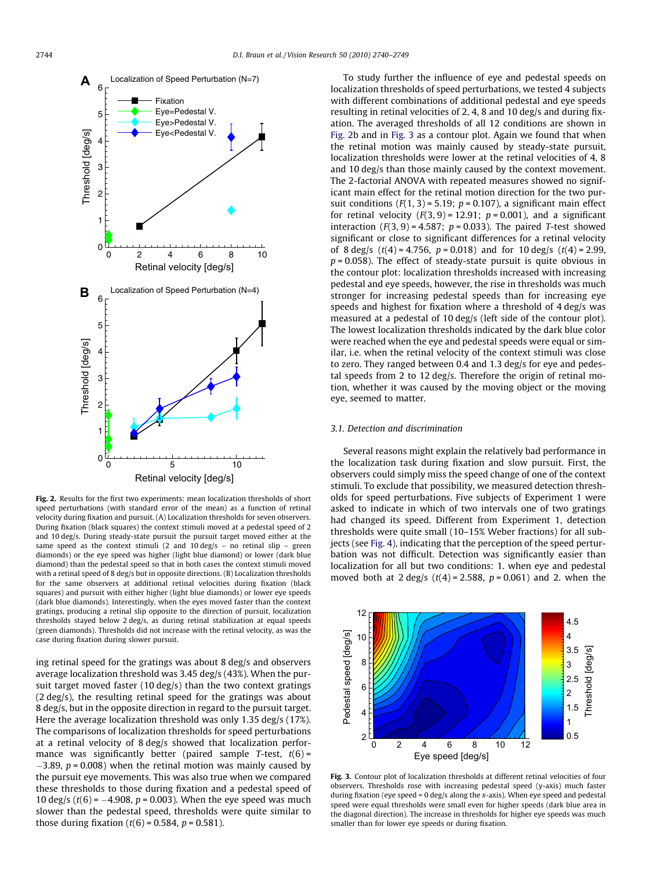<span id="page-4-0"></span>

Fig. 2. Results for the first two experiments: mean localization thresholds of short speed perturbations (with standard error of the mean) as a function of retinal velocity during fixation and pursuit. (A) Localization thresholds for seven observers. During fixation (black squares) the context stimuli moved at a pedestal speed of 2 and 10 deg/s. During steady-state pursuit the pursuit target moved either at the same speed as the context stimuli (2 and 10 deg/s – no retinal slip – green diamonds) or the eye speed was higher (light blue diamond) or lower (dark blue diamond) than the pedestal speed so that in both cases the context stimuli moved with a retinal speed of 8 deg/s but in opposite directions. (B) Localization thresholds for the same observers at additional retinal velocities during fixation (black squares) and pursuit with either higher (light blue diamonds) or lower eye speeds (dark blue diamonds). Interestingly, when the eyes moved faster than the context gratings, producing a retinal slip opposite to the direction of pursuit, localization thresholds stayed below 2 deg/s, as during retinal stabilization at equal speeds (green diamonds). Thresholds did not increase with the retinal velocity, as was the case during fixation during slower pursuit.

ing retinal speed for the gratings was about 8 deg/s and observers average localization threshold was 3.45 deg/s (43%). When the pursuit target moved faster (10 deg/s) than the two context gratings (2 deg/s), the resulting retinal speed for the gratings was about 8 deg/s, but in the opposite direction in regard to the pursuit target. Here the average localization threshold was only 1.35 deg/s (17%). The comparisons of localization thresholds for speed perturbations at a retinal velocity of 8 deg/s showed that localization performance was significantly better (paired sample T-test,  $t(6)$  =  $-3.89$ ,  $p = 0.008$ ) when the retinal motion was mainly caused by the pursuit eye movements. This was also true when we compared these thresholds to those during fixation and a pedestal speed of 10 deg/s ( $t(6) = -4.908$ ,  $p = 0.003$ ). When the eye speed was much slower than the pedestal speed, thresholds were quite similar to those during fixation  $(t(6) = 0.584, p = 0.581)$ .

To study further the influence of eye and pedestal speeds on localization thresholds of speed perturbations, we tested 4 subjects with different combinations of additional pedestal and eye speeds resulting in retinal velocities of 2, 4, 8 and 10 deg/s and during fixation. The averaged thresholds of all 12 conditions are shown in Fig. 2b and in Fig. 3 as a contour plot. Again we found that when the retinal motion was mainly caused by steady-state pursuit, localization thresholds were lower at the retinal velocities of 4, 8 and 10 deg/s than those mainly caused by the context movement. The 2-factorial ANOVA with repeated measures showed no significant main effect for the retinal motion direction for the two pursuit conditions  $(F(1, 3) = 5.19; p = 0.107)$ , a significant main effect for retinal velocity  $(F(3, 9) = 12.91; p = 0.001)$ , and a significant interaction  $(F(3, 9) = 4.587; p = 0.033)$ . The paired T-test showed significant or close to significant differences for a retinal velocity of 8 deg/s  $(t(4) = 4.756, p = 0.018)$  and for 10 deg/s  $(t(4) = 2.99,$  $p = 0.058$ ). The effect of steady-state pursuit is quite obvious in the contour plot: localization thresholds increased with increasing pedestal and eye speeds, however, the rise in thresholds was much stronger for increasing pedestal speeds than for increasing eye speeds and highest for fixation where a threshold of 4 deg/s was measured at a pedestal of 10 deg/s (left side of the contour plot). The lowest localization thresholds indicated by the dark blue color were reached when the eye and pedestal speeds were equal or similar, i.e. when the retinal velocity of the context stimuli was close to zero. They ranged between 0.4 and 1.3 deg/s for eye and pedestal speeds from 2 to 12 deg/s. Therefore the origin of retinal motion, whether it was caused by the moving object or the moving eye, seemed to matter.

### 3.1. Detection and discrimination

Several reasons might explain the relatively bad performance in the localization task during fixation and slow pursuit. First, the observers could simply miss the speed change of one of the context stimuli. To exclude that possibility, we measured detection thresholds for speed perturbations. Five subjects of Experiment 1 were asked to indicate in which of two intervals one of two gratings had changed its speed. Different from Experiment 1, detection thresholds were quite small (10–15% Weber fractions) for all subjects (see [Fig. 4\)](#page-5-0), indicating that the perception of the speed perturbation was not difficult. Detection was significantly easier than localization for all but two conditions: 1. when eye and pedestal moved both at 2 deg/s  $(t(4) = 2.588, p = 0.061)$  and 2. when the



Fig. 3. Contour plot of localization thresholds at different retinal velocities of four observers. Thresholds rose with increasing pedestal speed (y-axis) much faster during fixation (eye speed = 0 deg/s along the x-axis). When eye speed and pedestal speed were equal thresholds were small even for higher speeds (dark blue area in the diagonal direction). The increase in thresholds for higher eye speeds was much smaller than for lower eye speeds or during fixation.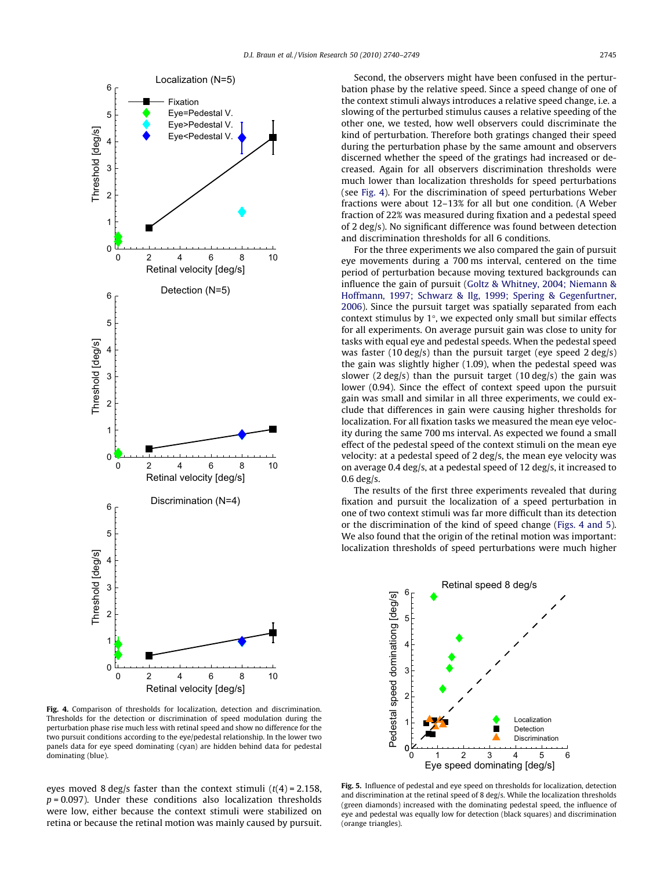<span id="page-5-0"></span>

Fig. 4. Comparison of thresholds for localization, detection and discrimination. Thresholds for the detection or discrimination of speed modulation during the perturbation phase rise much less with retinal speed and show no difference for the two pursuit conditions according to the eye/pedestal relationship. In the lower two panels data for eye speed dominating (cyan) are hidden behind data for pedestal dominating (blue). 0 1 2 3 4 5 6

eyes moved 8 deg/s faster than the context stimuli  $(t(4) = 2.158$ ,  $p = 0.097$ ). Under these conditions also localization thresholds were low, either because the context stimuli were stabilized on retina or because the retinal motion was mainly caused by pursuit.

Second, the observers might have been confused in the perturbation phase by the relative speed. Since a speed change of one of the context stimuli always introduces a relative speed change, i.e. a slowing of the perturbed stimulus causes a relative speeding of the other one, we tested, how well observers could discriminate the kind of perturbation. Therefore both gratings changed their speed during the perturbation phase by the same amount and observers discerned whether the speed of the gratings had increased or decreased. Again for all observers discrimination thresholds were much lower than localization thresholds for speed perturbations (see Fig. 4). For the discrimination of speed perturbations Weber fractions were about 12–13% for all but one condition. (A Weber fraction of 22% was measured during fixation and a pedestal speed of 2 deg/s). No significant difference was found between detection and discrimination thresholds for all 6 conditions.

For the three experiments we also compared the gain of pursuit eye movements during a 700 ms interval, centered on the time period of perturbation because moving textured backgrounds can influence the gain of pursuit [\(Goltz & Whitney, 2004; Niemann &](#page-9-0) [Hoffmann, 1997; Schwarz & Ilg, 1999; Spering & Gegenfurtner,](#page-9-0) [2006](#page-9-0)). Since the pursuit target was spatially separated from each context stimulus by  $1^{\circ}$ , we expected only small but similar effects for all experiments. On average pursuit gain was close to unity for tasks with equal eye and pedestal speeds. When the pedestal speed was faster (10 deg/s) than the pursuit target (eye speed 2 deg/s) the gain was slightly higher (1.09), when the pedestal speed was slower (2 deg/s) than the pursuit target (10 deg/s) the gain was lower (0.94). Since the effect of context speed upon the pursuit gain was small and similar in all three experiments, we could exclude that differences in gain were causing higher thresholds for localization. For all fixation tasks we measured the mean eye velocity during the same 700 ms interval. As expected we found a small effect of the pedestal speed of the context stimuli on the mean eye velocity: at a pedestal speed of 2 deg/s, the mean eye velocity was on average 0.4 deg/s, at a pedestal speed of 12 deg/s, it increased to  $0.6$  deg/s.

The results of the first three experiments revealed that during fixation and pursuit the localization of a speed perturbation in one of two context stimuli was far more difficult than its detection or the discrimination of the kind of speed change (Figs. 4 and 5). We also found that the origin of the retinal motion was important: localization thresholds of speed perturbations were much higher



Fig. 5. Influence of pedestal and eye speed on thresholds for localization, detection and discrimination at the retinal speed of 8 deg/s. While the localization thresholds (green diamonds) increased with the dominating pedestal speed, the influence of eye and pedestal was equally low for detection (black squares) and discrimination (orange triangles).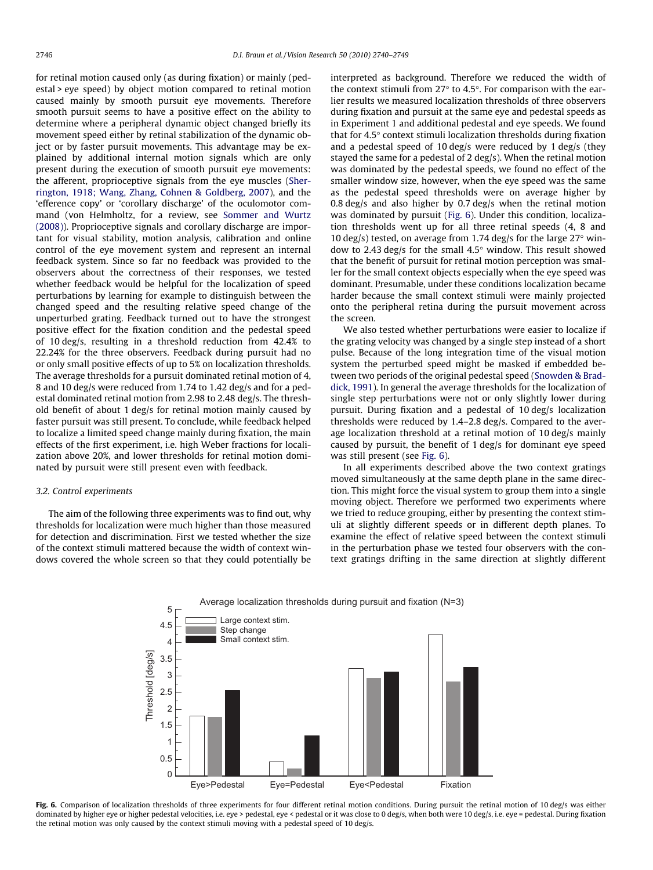for retinal motion caused only (as during fixation) or mainly (pedestal > eye speed) by object motion compared to retinal motion caused mainly by smooth pursuit eye movements. Therefore smooth pursuit seems to have a positive effect on the ability to determine where a peripheral dynamic object changed briefly its movement speed either by retinal stabilization of the dynamic object or by faster pursuit movements. This advantage may be explained by additional internal motion signals which are only present during the execution of smooth pursuit eye movements: the afferent, proprioceptive signals from the eye muscles ([Sher](#page-9-0)[rington, 1918; Wang, Zhang, Cohnen & Goldberg, 2007\)](#page-9-0), and the 'efference copy' or 'corollary discharge' of the oculomotor command (von Helmholtz, for a review, see [Sommer and Wurtz](#page-9-0) [\(2008\)\)](#page-9-0). Proprioceptive signals and corollary discharge are important for visual stability, motion analysis, calibration and online control of the eye movement system and represent an internal feedback system. Since so far no feedback was provided to the observers about the correctness of their responses, we tested whether feedback would be helpful for the localization of speed perturbations by learning for example to distinguish between the changed speed and the resulting relative speed change of the unperturbed grating. Feedback turned out to have the strongest positive effect for the fixation condition and the pedestal speed of 10 deg/s, resulting in a threshold reduction from 42.4% to 22.24% for the three observers. Feedback during pursuit had no or only small positive effects of up to 5% on localization thresholds. The average thresholds for a pursuit dominated retinal motion of 4, 8 and 10 deg/s were reduced from 1.74 to 1.42 deg/s and for a pedestal dominated retinal motion from 2.98 to 2.48 deg/s. The threshold benefit of about 1 deg/s for retinal motion mainly caused by faster pursuit was still present. To conclude, while feedback helped to localize a limited speed change mainly during fixation, the main effects of the first experiment, i.e. high Weber fractions for localization above 20%, and lower thresholds for retinal motion dominated by pursuit were still present even with feedback.

## 3.2. Control experiments

The aim of the following three experiments was to find out, why thresholds for localization were much higher than those measured for detection and discrimination. First we tested whether the size of the context stimuli mattered because the width of context windows covered the whole screen so that they could potentially be

interpreted as background. Therefore we reduced the width of the context stimuli from 27 $\degree$  to 4.5 $\degree$ . For comparison with the earlier results we measured localization thresholds of three observers during fixation and pursuit at the same eye and pedestal speeds as in Experiment 1 and additional pedestal and eye speeds. We found that for  $4.5^\circ$  context stimuli localization thresholds during fixation and a pedestal speed of 10 deg/s were reduced by 1 deg/s (they stayed the same for a pedestal of 2 deg/s). When the retinal motion was dominated by the pedestal speeds, we found no effect of the smaller window size, however, when the eye speed was the same as the pedestal speed thresholds were on average higher by 0.8 deg/s and also higher by 0.7 deg/s when the retinal motion was dominated by pursuit (Fig. 6). Under this condition, localization thresholds went up for all three retinal speeds (4, 8 and 10 deg/s) tested, on average from 1.74 deg/s for the large  $27^{\circ}$  window to 2.43 deg/s for the small  $4.5^{\circ}$  window. This result showed that the benefit of pursuit for retinal motion perception was smaller for the small context objects especially when the eye speed was dominant. Presumable, under these conditions localization became harder because the small context stimuli were mainly projected onto the peripheral retina during the pursuit movement across the screen.

We also tested whether perturbations were easier to localize if the grating velocity was changed by a single step instead of a short pulse. Because of the long integration time of the visual motion system the perturbed speed might be masked if embedded between two periods of the original pedestal speed ([Snowden & Brad](#page-9-0)[dick, 1991](#page-9-0)). In general the average thresholds for the localization of single step perturbations were not or only slightly lower during pursuit. During fixation and a pedestal of 10 deg/s localization thresholds were reduced by 1.4–2.8 deg/s. Compared to the average localization threshold at a retinal motion of 10 deg/s mainly caused by pursuit, the benefit of 1 deg/s for dominant eye speed was still present (see Fig. 6).

In all experiments described above the two context gratings moved simultaneously at the same depth plane in the same direction. This might force the visual system to group them into a single moving object. Therefore we performed two experiments where we tried to reduce grouping, either by presenting the context stimuli at slightly different speeds or in different depth planes. To examine the effect of relative speed between the context stimuli in the perturbation phase we tested four observers with the context gratings drifting in the same direction at slightly different



Fig. 6. Comparison of localization thresholds of three experiments for four different retinal motion conditions. During pursuit the retinal motion of 10 deg/s was either dominated by higher eye or higher pedestal velocities, i.e. eye > pedestal, eye < pedestal or it was close to 0 deg/s, when both were 10 deg/s, i.e. eye = pedestal. During fixation the retinal motion was only caused by the context stimuli moving with a pedestal speed of 10 deg/s.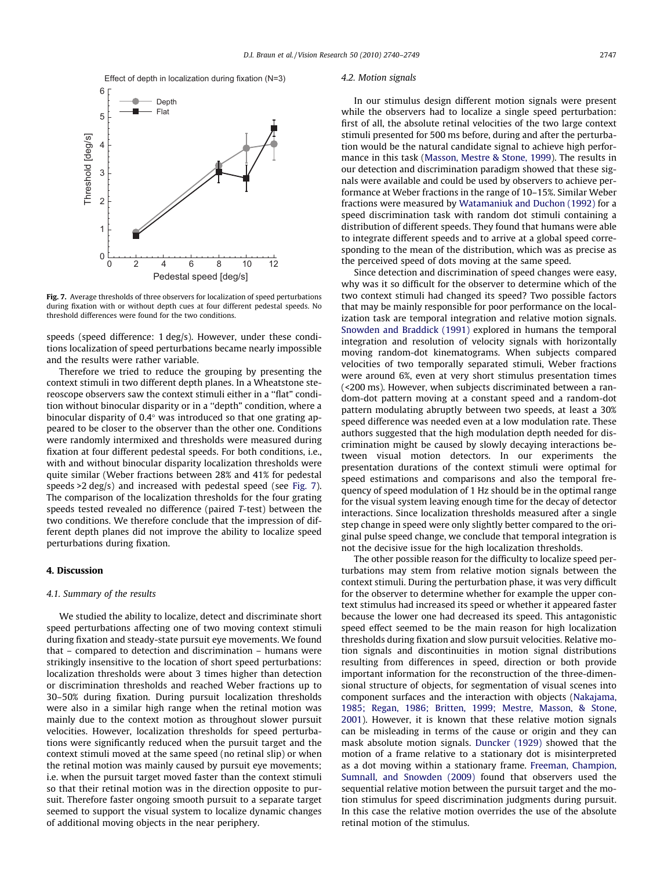Effect of depth in localization during fixation (N=3)



Fig. 7. Average thresholds of three observers for localization of speed perturbations during fixation with or without depth cues at four different pedestal speeds. No threshold differences were found for the two conditions.

speeds (speed difference: 1 deg/s). However, under these conditions localization of speed perturbations became nearly impossible and the results were rather variable.

Therefore we tried to reduce the grouping by presenting the context stimuli in two different depth planes. In a Wheatstone stereoscope observers saw the context stimuli either in a ''flat" condition without binocular disparity or in a ''depth" condition, where a binocular disparity of  $0.4^\circ$  was introduced so that one grating appeared to be closer to the observer than the other one. Conditions were randomly intermixed and thresholds were measured during fixation at four different pedestal speeds. For both conditions, i.e., with and without binocular disparity localization thresholds were quite similar (Weber fractions between 28% and 41% for pedestal speeds >2 deg/s) and increased with pedestal speed (see Fig. 7). The comparison of the localization thresholds for the four grating speeds tested revealed no difference (paired T-test) between the two conditions. We therefore conclude that the impression of different depth planes did not improve the ability to localize speed perturbations during fixation.

## 4. Discussion

## 4.1. Summary of the results

We studied the ability to localize, detect and discriminate short speed perturbations affecting one of two moving context stimuli during fixation and steady-state pursuit eye movements. We found that – compared to detection and discrimination – humans were strikingly insensitive to the location of short speed perturbations: localization thresholds were about 3 times higher than detection or discrimination thresholds and reached Weber fractions up to 30–50% during fixation. During pursuit localization thresholds were also in a similar high range when the retinal motion was mainly due to the context motion as throughout slower pursuit velocities. However, localization thresholds for speed perturbations were significantly reduced when the pursuit target and the context stimuli moved at the same speed (no retinal slip) or when the retinal motion was mainly caused by pursuit eye movements; i.e. when the pursuit target moved faster than the context stimuli so that their retinal motion was in the direction opposite to pursuit. Therefore faster ongoing smooth pursuit to a separate target seemed to support the visual system to localize dynamic changes of additional moving objects in the near periphery.

#### 4.2. Motion signals

In our stimulus design different motion signals were present while the observers had to localize a single speed perturbation: first of all, the absolute retinal velocities of the two large context stimuli presented for 500 ms before, during and after the perturbation would be the natural candidate signal to achieve high performance in this task [\(Masson, Mestre & Stone, 1999\)](#page-9-0). The results in our detection and discrimination paradigm showed that these signals were available and could be used by observers to achieve performance at Weber fractions in the range of 10–15%. Similar Weber fractions were measured by [Watamaniuk and Duchon \(1992\)](#page-9-0) for a speed discrimination task with random dot stimuli containing a distribution of different speeds. They found that humans were able to integrate different speeds and to arrive at a global speed corresponding to the mean of the distribution, which was as precise as the perceived speed of dots moving at the same speed.

Since detection and discrimination of speed changes were easy, why was it so difficult for the observer to determine which of the two context stimuli had changed its speed? Two possible factors that may be mainly responsible for poor performance on the localization task are temporal integration and relative motion signals. [Snowden and Braddick \(1991\)](#page-9-0) explored in humans the temporal integration and resolution of velocity signals with horizontally moving random-dot kinematograms. When subjects compared velocities of two temporally separated stimuli, Weber fractions were around 6%, even at very short stimulus presentation times (<200 ms). However, when subjects discriminated between a random-dot pattern moving at a constant speed and a random-dot pattern modulating abruptly between two speeds, at least a 30% speed difference was needed even at a low modulation rate. These authors suggested that the high modulation depth needed for discrimination might be caused by slowly decaying interactions between visual motion detectors. In our experiments the presentation durations of the context stimuli were optimal for speed estimations and comparisons and also the temporal frequency of speed modulation of 1 Hz should be in the optimal range for the visual system leaving enough time for the decay of detector interactions. Since localization thresholds measured after a single step change in speed were only slightly better compared to the original pulse speed change, we conclude that temporal integration is not the decisive issue for the high localization thresholds.

The other possible reason for the difficulty to localize speed perturbations may stem from relative motion signals between the context stimuli. During the perturbation phase, it was very difficult for the observer to determine whether for example the upper context stimulus had increased its speed or whether it appeared faster because the lower one had decreased its speed. This antagonistic speed effect seemed to be the main reason for high localization thresholds during fixation and slow pursuit velocities. Relative motion signals and discontinuities in motion signal distributions resulting from differences in speed, direction or both provide important information for the reconstruction of the three-dimensional structure of objects, for segmentation of visual scenes into component surfaces and the interaction with objects [\(Nakajama,](#page-9-0) [1985; Regan, 1986; Britten, 1999; Mestre, Masson, & Stone,](#page-9-0) [2001](#page-9-0)). However, it is known that these relative motion signals can be misleading in terms of the cause or origin and they can mask absolute motion signals. [Duncker \(1929\)](#page-8-0) showed that the motion of a frame relative to a stationary dot is misinterpreted as a dot moving within a stationary frame. [Freeman, Champion,](#page-9-0) [Sumnall, and Snowden \(2009\)](#page-9-0) found that observers used the sequential relative motion between the pursuit target and the motion stimulus for speed discrimination judgments during pursuit. In this case the relative motion overrides the use of the absolute retinal motion of the stimulus.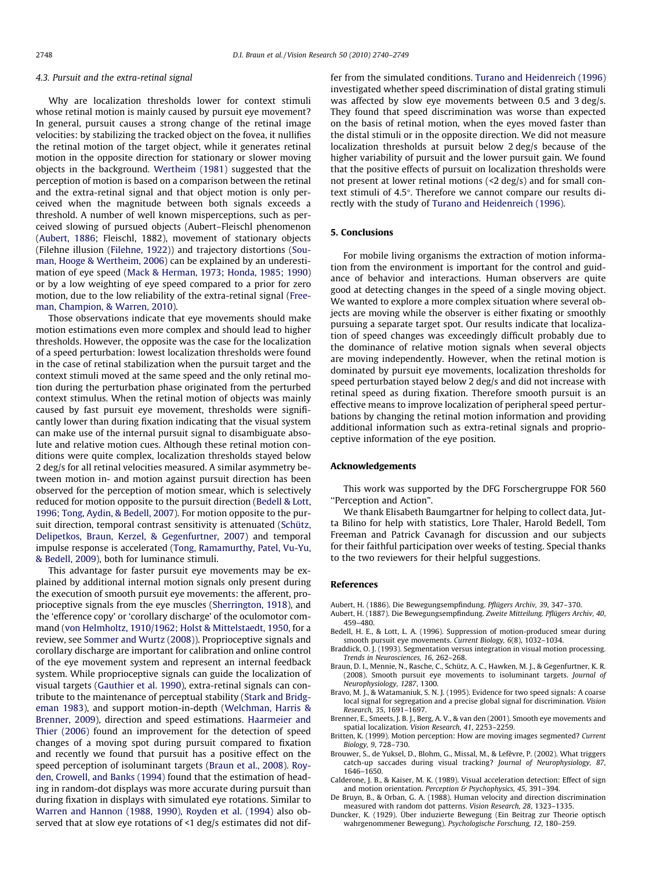#### <span id="page-8-0"></span>4.3. Pursuit and the extra-retinal signal

Why are localization thresholds lower for context stimuli whose retinal motion is mainly caused by pursuit eye movement? In general, pursuit causes a strong change of the retinal image velocities: by stabilizing the tracked object on the fovea, it nullifies the retinal motion of the target object, while it generates retinal motion in the opposite direction for stationary or slower moving objects in the background. [Wertheim \(1981\)](#page-9-0) suggested that the perception of motion is based on a comparison between the retinal and the extra-retinal signal and that object motion is only perceived when the magnitude between both signals exceeds a threshold. A number of well known misperceptions, such as perceived slowing of pursued objects (Aubert–Fleischl phenomenon (Aubert, 1886; Fleischl, 1882), movement of stationary objects (Filehne illusion [\(Filehne, 1922\)](#page-9-0)) and trajectory distortions ([Sou](#page-9-0)[man, Hooge & Wertheim, 2006\)](#page-9-0) can be explained by an underestimation of eye speed [\(Mack & Herman, 1973; Honda, 1985; 1990\)](#page-9-0) or by a low weighting of eye speed compared to a prior for zero motion, due to the low reliability of the extra-retinal signal [\(Free](#page-9-0)[man, Champion, & Warren, 2010](#page-9-0)).

Those observations indicate that eye movements should make motion estimations even more complex and should lead to higher thresholds. However, the opposite was the case for the localization of a speed perturbation: lowest localization thresholds were found in the case of retinal stabilization when the pursuit target and the context stimuli moved at the same speed and the only retinal motion during the perturbation phase originated from the perturbed context stimulus. When the retinal motion of objects was mainly caused by fast pursuit eye movement, thresholds were significantly lower than during fixation indicating that the visual system can make use of the internal pursuit signal to disambiguate absolute and relative motion cues. Although these retinal motion conditions were quite complex, localization thresholds stayed below 2 deg/s for all retinal velocities measured. A similar asymmetry between motion in- and motion against pursuit direction has been observed for the perception of motion smear, which is selectively reduced for motion opposite to the pursuit direction (Bedell & Lott, 1996; Tong, Aydin, & Bedell, 2007). For motion opposite to the pursuit direction, temporal contrast sensitivity is attenuated ([Schütz,](#page-9-0) [Delipetkos, Braun, Kerzel, & Gegenfurtner, 2007](#page-9-0)) and temporal impulse response is accelerated [\(Tong, Ramamurthy, Patel, Vu-Yu,](#page-9-0) [& Bedell, 2009\)](#page-9-0), both for luminance stimuli.

This advantage for faster pursuit eye movements may be explained by additional internal motion signals only present during the execution of smooth pursuit eye movements: the afferent, proprioceptive signals from the eye muscles [\(Sherrington, 1918](#page-9-0)), and the 'efference copy' or 'corollary discharge' of the oculomotor command [\(von Helmholtz, 1910/1962; Holst & Mittelstaedt, 1950](#page-9-0), for a review, see [Sommer and Wurtz \(2008\)\)](#page-9-0). Proprioceptive signals and corollary discharge are important for calibration and online control of the eye movement system and represent an internal feedback system. While proprioceptive signals can guide the localization of visual targets [\(Gauthier et al. 1990](#page-9-0)), extra-retinal signals can contribute to the maintenance of perceptual stability ([Stark and Bridg](#page-9-0)[eman 1983](#page-9-0)), and support motion-in-depth [\(Welchman, Harris &](#page-9-0) [Brenner, 2009](#page-9-0)), direction and speed estimations. [Haarmeier and](#page-9-0) [Thier \(2006\)](#page-9-0) found an improvement for the detection of speed changes of a moving spot during pursuit compared to fixation and recently we found that pursuit has a positive effect on the speed perception of isoluminant targets (Braun et al., 2008). [Roy](#page-9-0)[den, Crowell, and Banks \(1994\)](#page-9-0) found that the estimation of heading in random-dot displays was more accurate during pursuit than during fixation in displays with simulated eye rotations. Similar to [Warren and Hannon \(1988, 1990\), Royden et al. \(1994\)](#page-9-0) also observed that at slow eye rotations of <1 deg/s estimates did not differ from the simulated conditions. [Turano and Heidenreich \(1996\)](#page-9-0) investigated whether speed discrimination of distal grating stimuli was affected by slow eye movements between 0.5 and 3 deg/s. They found that speed discrimination was worse than expected on the basis of retinal motion, when the eyes moved faster than the distal stimuli or in the opposite direction. We did not measure localization thresholds at pursuit below 2 deg/s because of the higher variability of pursuit and the lower pursuit gain. We found that the positive effects of pursuit on localization thresholds were not present at lower retinal motions (<2 deg/s) and for small context stimuli of 4.5°. Therefore we cannot compare our results directly with the study of [Turano and Heidenreich \(1996\)](#page-9-0).

## 5. Conclusions

For mobile living organisms the extraction of motion information from the environment is important for the control and guidance of behavior and interactions. Human observers are quite good at detecting changes in the speed of a single moving object. We wanted to explore a more complex situation where several objects are moving while the observer is either fixating or smoothly pursuing a separate target spot. Our results indicate that localization of speed changes was exceedingly difficult probably due to the dominance of relative motion signals when several objects are moving independently. However, when the retinal motion is dominated by pursuit eye movements, localization thresholds for speed perturbation stayed below 2 deg/s and did not increase with retinal speed as during fixation. Therefore smooth pursuit is an effective means to improve localization of peripheral speed perturbations by changing the retinal motion information and providing additional information such as extra-retinal signals and proprioceptive information of the eye position.

#### Acknowledgements

This work was supported by the DFG Forschergruppe FOR 560 ''Perception and Action".

We thank Elisabeth Baumgartner for helping to collect data, Jutta Bilino for help with statistics, Lore Thaler, Harold Bedell, Tom Freeman and Patrick Cavanagh for discussion and our subjects for their faithful participation over weeks of testing. Special thanks to the two reviewers for their helpful suggestions.

#### References

- Aubert, H. (1886). Die Bewegungsempfindung. Pflügers Archiv, 39, 347–370.
- Aubert, H. (1887). Die Bewegungsempfindung. Zweite Mitteilung. Pflügers Archiv, 40, 459–480.
- Bedell, H. E., & Lott, L. A. (1996). Suppression of motion-produced smear during smooth pursuit eye movements. Current Biology, 6(8), 1032–1034.
- Braddick, O. J. (1993). Segmentation versus integration in visual motion processing. Trends in Neurosciences, 16, 262–268.
- Braun, D. I., Mennie, N., Rasche, C., Schütz, A. C., Hawken, M. J., & Gegenfurtner, K. R. (2008). Smooth pursuit eye movements to isoluminant targets. Journal of Neurophysiology, 1287, 1300.
- Bravo, M. J., & Watamaniuk, S. N. J. (1995). Evidence for two speed signals: A coarse local signal for segregation and a precise global signal for discrimination. Vision Research, 35, 1691–1697.
- Brenner, E., Smeets, J. B. J., Berg, A. V., & van den (2001). Smooth eye movements and spatial localization. Vision Research, 41, 2253–2259.
- Britten, K. (1999). Motion perception: How are moving images segmented? Current Biology, 9, 728–730.
- Brouwer, S., de Yuksel, D., Blohm, G., Missal, M., & Lefèvre, P. (2002). What triggers catch-up saccades during visual tracking? Journal of Neurophysiology, 87, 1646–1650.
- Calderone, J. B., & Kaiser, M. K. (1989). Visual acceleration detection: Effect of sign and motion orientation. Perception & Psychophysics, 45, 391-394.
- De Bruyn, B., & Orban, G. A. (1988). Human velocity and direction discrimination measured with random dot patterns. Vision Research, 28, 1323–1335.
- Duncker, K. (1929). Über induzierte Bewegung (Ein Beitrag zur Theorie optisch wahrgenommener Bewegung). Psychologische Forschung, 12, 180–259.